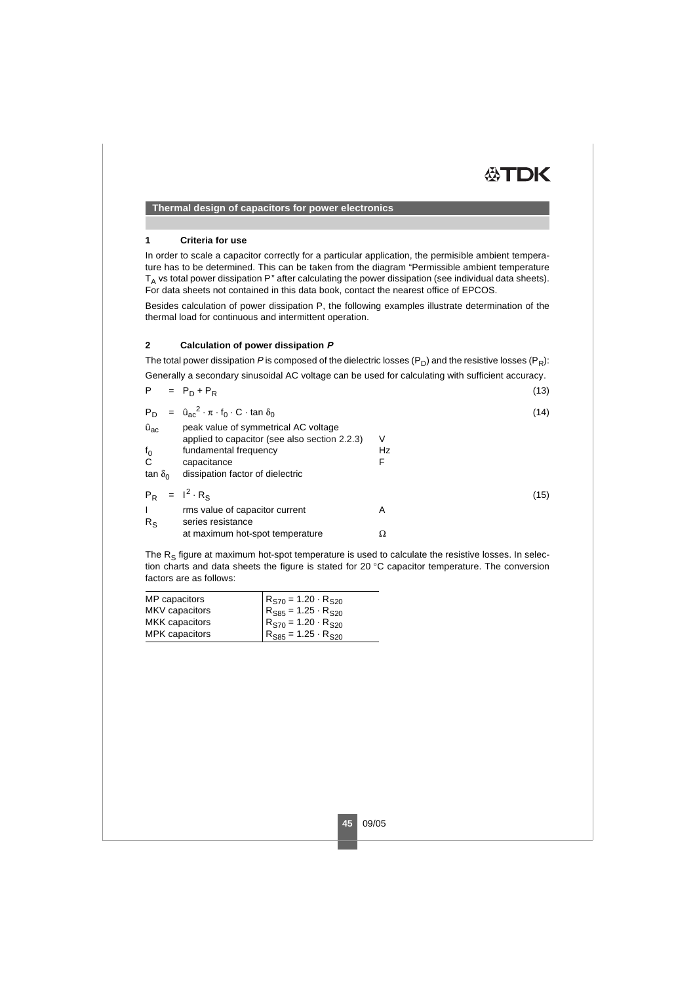### **Thermal design of capacitors for power electronics**

#### **1 Criteria for use**

In order to scale a capacitor correctly for a particular application, the permisible ambient temperature has to be determined. This can be taken from the diagram "Permissible ambient temperature  $T_A$  vs total power dissipation P" after calculating the power dissipation (see individual data sheets). For data sheets not contained in this data book, contact the nearest office of EPCOS.

Besides calculation of power dissipation P, the following examples illustrate determination of the thermal load for continuous and intermittent operation.

#### **2 Calculation of power dissipation P**

The total power dissipation P is composed of the dielectric losses ( $P_D$ ) and the resistive losses ( $P_R$ ):

Generally a secondary sinusoidal AC voltage can be used for calculating with sufficient accuracy.

<span id="page-0-2"></span><span id="page-0-0"></span>

| P.             | $= P_D + P_R$                                                                         |    | (13) |
|----------------|---------------------------------------------------------------------------------------|----|------|
| P <sub>D</sub> | $=$ $\hat{u}_{ac}^2 \cdot \pi \cdot f_0 \cdot C \cdot \tan \delta_0$                  |    | (14) |
| $\hat{u}_{ac}$ | peak value of symmetrical AC voltage<br>applied to capacitor (see also section 2.2.3) | V  |      |
| $f_0$          | fundamental frequency                                                                 | Hz |      |
| C              | capacitance                                                                           | F  |      |
| tan $\delta_0$ | dissipation factor of dielectric                                                      |    |      |
|                | $P_R = I^2 \cdot R_S$                                                                 |    | (15) |
| I              | rms value of capacitor current                                                        | A  |      |
| $R_{S}$        | series resistance                                                                     |    |      |
|                | at maximum hot-spot temperature                                                       | Ω  |      |
|                |                                                                                       |    |      |

<span id="page-0-1"></span>The  $R_S$  figure at maximum hot-spot temperature is used to calculate the resistive losses. In selection charts and data sheets the figure is stated for 20 °C capacitor temperature. The conversion factors are as follows:

| MP capacitors  | $R_{S70} = 1.20 \cdot R_{S20}$               |
|----------------|----------------------------------------------|
| MKV capacitors | $R_{S85} = 1.25 \cdot R_{S20}$               |
| MKK capacitors | $R_{\rm S70} = 1.20 \cdot R_{\rm S20}$       |
| MPK capacitors | $R_{\text{S85}} = 1.25 \cdot R_{\text{S20}}$ |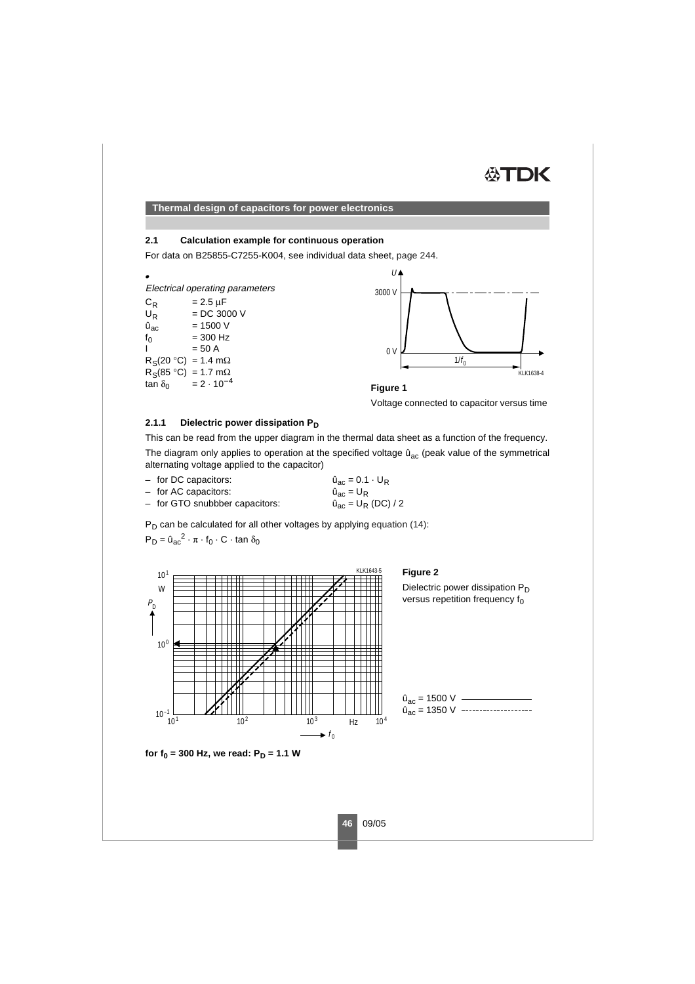# ÆTDK

**Thermal design of capacitors for power electronics**

### **2.1 Calculation example for continuous operation**

For data on B25855-C7255-K004, see individual data sheet, page 244.

• Electrical operating parameters  $C_R$  = 2.5 μF<br>U<sub>R</sub> = DC 30  $=$  DC 3000 V  $\hat{u}_{\text{ac}}$  = 1500 V  $f_0$  = 300 Hz  $= 50 A$  $R_S(20 °C) = 1.4 m\Omega$  $R_S(85 °C) = 1.7 mΩ$ <br>tan δ<sub>0</sub> = 2 · 10<sup>-4</sup>  $= 2 \cdot 10^{-4}$ 





Voltage connected to capacitor versus time

#### **2.1.1 Dielectric power dissipation P<sub>D</sub>**

This can be read from the upper diagram in the thermal data sheet as a function of the frequency.

The diagram only applies to operation at the specified voltage  $\hat{u}_{ac}$  (peak value of the symmetrical alternating voltage applied to the capacitor)

– for DC capacitors:  $\hat{u}_{ac} = 0.1 \cdot U_R$ <br>
– for AC capacitors:  $\hat{u}_{ac} = U_R$ – for AC capacitors:  $\hat{u}_{ac} = U_R$ <br>– for GTO snubbber capacitors:  $\hat{u}_{ac} = U_R (DC) / 2$  $-$  for GTO snubbber capacitors:

 $P_D$  can be calculated for all other voltages by applying [equation](#page-0-0) (14):

 $P_D = \hat{u}_{ac}^2 \cdot \pi \cdot f_0 \cdot C \cdot \tan \delta_0$ 



**Figure 2**

Dielectric power dissipation  $P_D$ versus repetition frequency  $f_0$ 



**for**  $f_0 = 300$  **Hz, we read:**  $P_D = 1.1$  **W**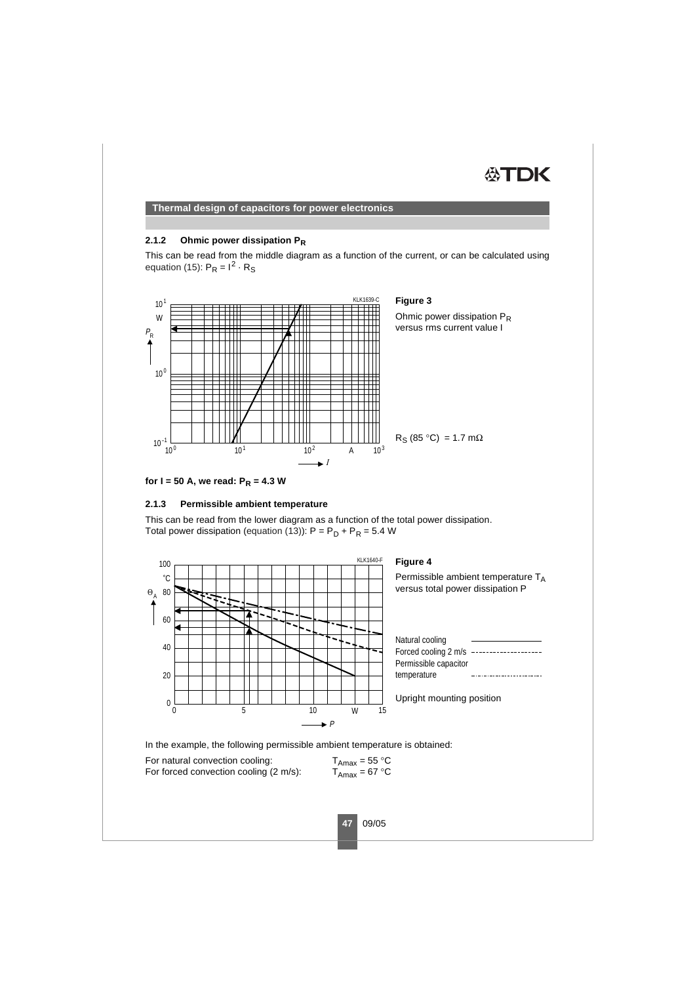# ÆTDK

### **Thermal design of capacitors for power electronics**

#### **2.1.2 Ohmic power dissipation PR**

This can be read from the middle diagram as a function of the current, or can be calculated using [equation](#page-0-1) (15):  $P_B = I^2 \cdot R_S$ 



**for I = 50 A, we read:**  $P_R = 4.3$  **W** 

### **2.1.3 Permissible ambient temperature**

This can be read from the lower diagram as a function of the total power dissipation. Total power dissipation [\(equation](#page-0-2) (13)):  $P = P_D + P_R = 5.4 W$ 



In the example, the following permissible ambient temperature is obtained:

For natural convection cooling:  $T_{Amax} = 55 \text{ °C}$ <br>For forced convection cooling (2 m/s):  $T_{Amax} = 67 \text{ °C}$ For forced convection cooling  $(2 \text{ m/s})$ :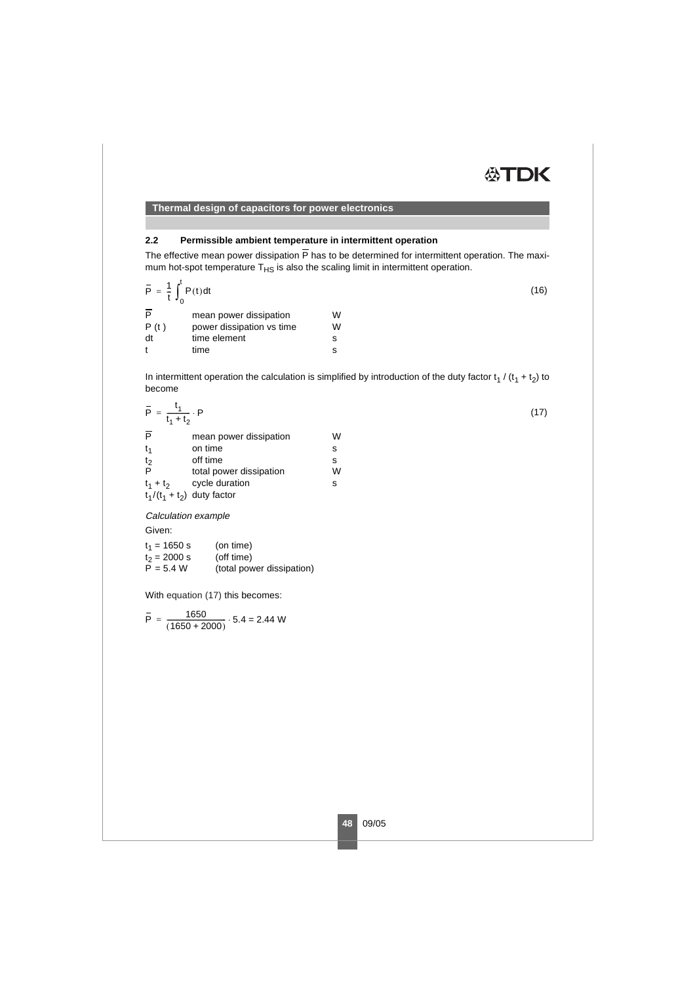# <span id="page-3-0"></span>**ATDK**

**Thermal design of capacitors for power electronics**

# **2.2 Permissible ambient temperature in intermittent operation**

The effective mean power dissipation  $\overline{P}$  has to be determined for intermittent operation. The maximum hot-spot temperature  $T<sub>HS</sub>$  is also the scaling limit in intermittent operation.

$$
\overline{P} = \frac{1}{t} \int_{0}^{t} P(t) dt
$$
\n
$$
\overline{P} \qquad \text{mean power dissipation} \qquad W
$$
\n
$$
P(t) \qquad \text{power dissipation vs time} \qquad W
$$
\n
$$
dt \qquad \text{time element} \qquad S
$$
\n(16)

In intermittent operation the calculation is simplified by introduction of the duty factor  $t_1$  / ( $t_1 + t_2$ ) to become

<span id="page-3-2"></span>
$$
\overline{P} = \frac{t_1}{t_1 + t_2} \cdot P
$$
\n
$$
\overline{P} \qquad \text{mean power dissipation} \qquad W
$$
\n
$$
t_1 \qquad \text{on time} \qquad \text{s}
$$
\n
$$
P \qquad \text{total power dissipation} \qquad W
$$
\n
$$
t_1 + t_2 \qquad \text{cycle duration} \qquad W
$$
\n
$$
t_1 + t_2 \qquad \text{cycle duration} \qquad \text{s}
$$
\n
$$
t_1/(t_1 + t_2) \quad \text{duty factor} \qquad \text{s}
$$
\n
$$
(17)
$$

#### Calculation example

Given:

| $t_1$ = 1650 s | (on time)                 |
|----------------|---------------------------|
| $t_2 = 2000 s$ | (off time)                |
| $P = 5.4 W$    | (total power dissipation) |

t time s

<span id="page-3-1"></span>With [equation](#page-3-0) (17) this becomes:

$$
\overline{P} = \frac{1650}{(1650 + 2000)} \cdot 5.4 = 2.44 \text{ W}
$$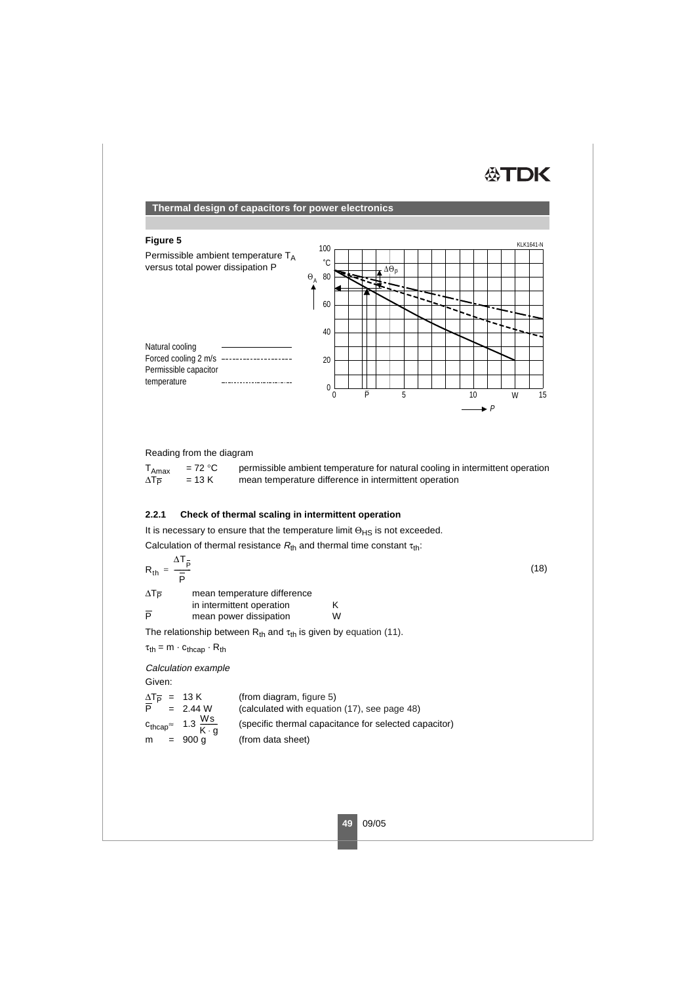# **ATDK**

## **Thermal design of capacitors for power electronics**

### <span id="page-4-0"></span>**Figure 5**



Reading from the diagram

| $I_{\text{Amax}}$ | $= 72 °C$ | permissible ambient temperature for natural cooling in intermittent operation |
|-------------------|-----------|-------------------------------------------------------------------------------|
| ∆Тъ               | $= 13 K$  | mean temperature difference in intermittent operation                         |

### **2.2.1 Check of thermal scaling in intermittent operation**

It is necessary to ensure that the temperature limit  $\Theta_{\rm HS}$  is not exceeded.

Calculation of thermal resistance  $R_{th}$  and thermal time constant  $\tau_{th}$ :

<span id="page-4-1"></span>
$$
R_{th} = \frac{\Delta T_{\overline{p}}}{\overline{p}} \tag{18}
$$

 $\Delta T_{\overline{P}}$  mean temperature difference in intermittent operation K<br>mean nower dissination W  $\overline{P}$  mean power dissipation

The relationship between  $R_{th}$  and  $\tau_{th}$  is given by equation (11).

 $\tau_{\text{th}} = m \cdot c_{\text{thcap}} \cdot R_{\text{th}}$ 

Calculation example

Given:

| $\Delta T_{\overline{P}}$ = 13 K |                                                     | (from diagram, figure 5)                              |
|----------------------------------|-----------------------------------------------------|-------------------------------------------------------|
|                                  | $P = 2.44 W$                                        | (calculated with equation (17), see page 48)          |
|                                  | $c_{\text{thcap}} \approx 1.3 \frac{Ws}{K \cdot g}$ | (specific thermal capacitance for selected capacitor) |
| $m = 900 q$                      |                                                     | (from data sheet)                                     |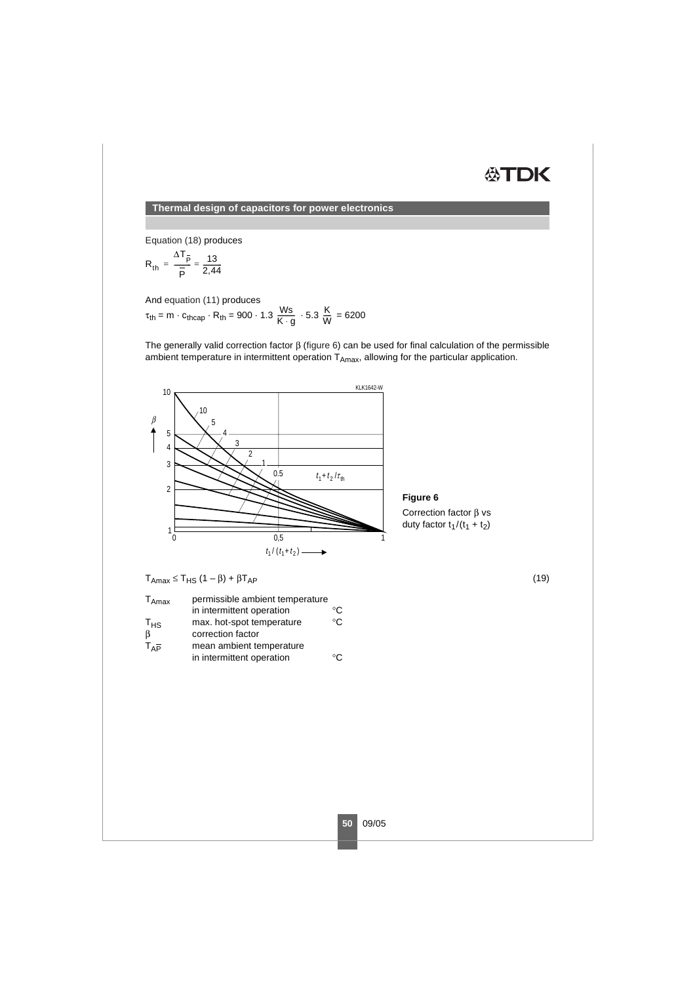# **公丁口K**

**Thermal design of capacitors for power electronics**

[Equation](#page-4-1) (18) produces

$$
R_{th} = \frac{\Delta T_{\overline{p}}}{\overline{p}} = \frac{13}{2,44}
$$

And equation (11) produces

<span id="page-5-1"></span> $\tau_{\text{th}} = m \cdot c_{\text{thcap}} \cdot R_{\text{th}} = 900 \cdot 1.3 \frac{\text{Ws}}{\text{K} \cdot \text{g}} \cdot 5.3 \frac{\text{K}}{\text{W}} = 6200$ 

The generally valid correction factor β [\(figure](#page-5-0) 6) can be used for final calculation of the permissible ambient temperature in intermittent operation  $T_{Amax}$ , allowing for the particular application.



<span id="page-5-0"></span>**Figure 6**

Correction factor β vs duty factor  $t_1 / (t_1 + t_2)$ 

<span id="page-5-2"></span> $T_{\text{Amax}} \leq T_{\text{HS}} (1 - \beta) + \beta T_{\text{AP}}$  (19)

| $T_{Amax}$   | permissible ambient temperature |    |  |
|--------------|---------------------------------|----|--|
|              | in intermittent operation       | ℃  |  |
| $T_{HS}$     | max. hot-spot temperature       | °C |  |
| <sup>B</sup> | correction factor               |    |  |
| $T_{AP}$     | mean ambient temperature        |    |  |
|              | in intermittent operation       |    |  |